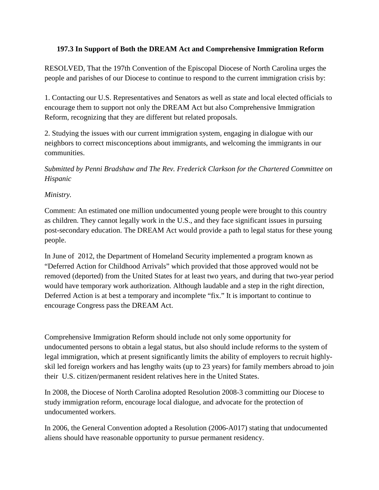## **197.3 In Support of Both the DREAM Act and Comprehensive Immigration Reform**

RESOLVED, That the 197th Convention of the Episcopal Diocese of North Carolina urges the people and parishes of our Diocese to continue to respond to the current immigration crisis by:

1. Contacting our U.S. Representatives and Senators as well as state and local elected officials to encourage them to support not only the DREAM Act but also Comprehensive Immigration Reform, recognizing that they are different but related proposals.

2. Studying the issues with our current immigration system, engaging in dialogue with our neighbors to correct misconceptions about immigrants, and welcoming the immigrants in our communities.

*Submitted by Penni Bradshaw and The Rev. Frederick Clarkson for the Chartered Committee on Hispanic*

## *Ministry.*

Comment: An estimated one million undocumented young people were brought to this country as children. They cannot legally work in the U.S., and they face significant issues in pursuing post-secondary education. The DREAM Act would provide a path to legal status for these young people.

In June of 2012, the Department of Homeland Security implemented a program known as "Deferred Action for Childhood Arrivals" which provided that those approved would not be removed (deported) from the United States for at least two years, and during that two-year period would have temporary work authorization. Although laudable and a step in the right direction, Deferred Action is at best a temporary and incomplete "fix." It is important to continue to encourage Congress pass the DREAM Act.

Comprehensive Immigration Reform should include not only some opportunity for undocumented persons to obtain a legal status, but also should include reforms to the system of legal immigration, which at present significantly limits the ability of employers to recruit highlyskil led foreign workers and has lengthy waits (up to 23 years) for family members abroad to join their U.S. citizen/permanent resident relatives here in the United States.

In 2008, the Diocese of North Carolina adopted Resolution 2008-3 committing our Diocese to study immigration reform, encourage local dialogue, and advocate for the protection of undocumented workers.

In 2006, the General Convention adopted a Resolution (2006-A017) stating that undocumented aliens should have reasonable opportunity to pursue permanent residency.